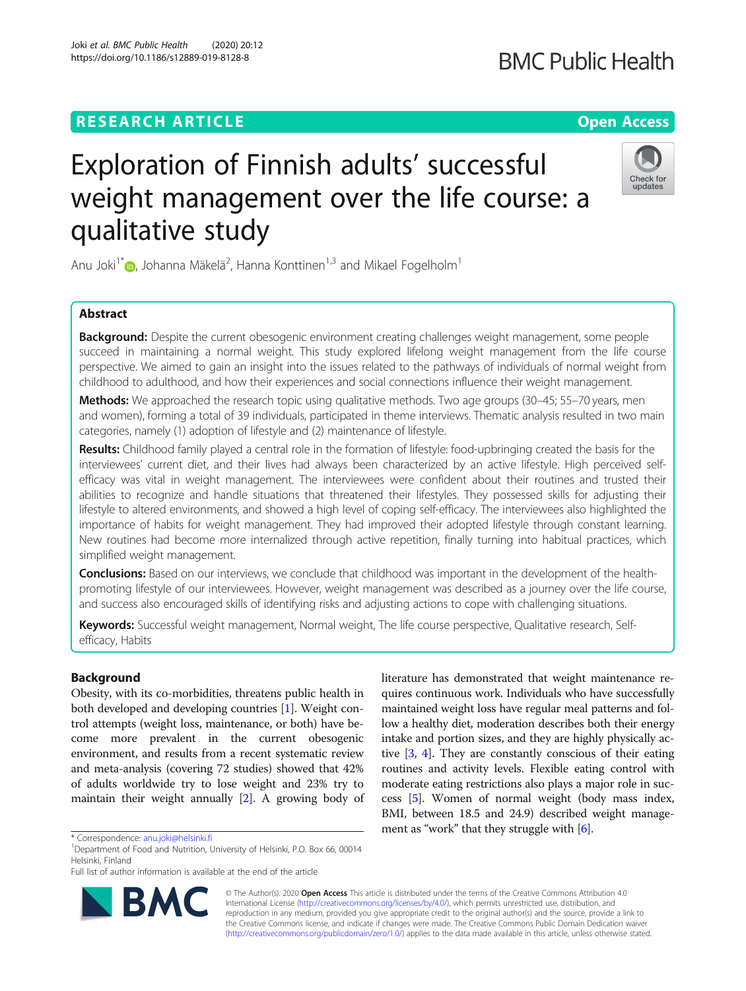# **RESEARCH ARTICLE Example 2014 12:30 The Contract of Contract ACCESS**

# Exploration of Finnish adults' successful weight management over the life course: a qualitative study

Anu Joki $^{\dagger^\ast}$  , Johanna Mäkelä $^2$ , Hanna Konttinen $^{1,3}$  and Mikael Fogelholm $^1$ 

# Abstract

Background: Despite the current obesogenic environment creating challenges weight management, some people succeed in maintaining a normal weight. This study explored lifelong weight management from the life course perspective. We aimed to gain an insight into the issues related to the pathways of individuals of normal weight from childhood to adulthood, and how their experiences and social connections influence their weight management.

Methods: We approached the research topic using qualitative methods. Two age groups (30–45; 55–70 years, men and women), forming a total of 39 individuals, participated in theme interviews. Thematic analysis resulted in two main categories, namely (1) adoption of lifestyle and (2) maintenance of lifestyle.

Results: Childhood family played a central role in the formation of lifestyle: food-upbringing created the basis for the interviewees' current diet, and their lives had always been characterized by an active lifestyle. High perceived selfefficacy was vital in weight management. The interviewees were confident about their routines and trusted their abilities to recognize and handle situations that threatened their lifestyles. They possessed skills for adjusting their lifestyle to altered environments, and showed a high level of coping self-efficacy. The interviewees also highlighted the importance of habits for weight management. They had improved their adopted lifestyle through constant learning. New routines had become more internalized through active repetition, finally turning into habitual practices, which simplified weight management.

Conclusions: Based on our interviews, we conclude that childhood was important in the development of the healthpromoting lifestyle of our interviewees. However, weight management was described as a journey over the life course, and success also encouraged skills of identifying risks and adjusting actions to cope with challenging situations.

Keywords: Successful weight management, Normal weight, The life course perspective, Qualitative research, Selfefficacy, Habits

# Background

Obesity, with its co-morbidities, threatens public health in both developed and developing countries [\[1](#page-10-0)]. Weight control attempts (weight loss, maintenance, or both) have become more prevalent in the current obesogenic environment, and results from a recent systematic review and meta-analysis (covering 72 studies) showed that 42% of adults worldwide try to lose weight and 23% try to maintain their weight annually [\[2\]](#page-10-0). A growing body of

\* Correspondence: [anu.joki@helsinki.fi](mailto:anu.joki@helsinki.fi) <sup>1</sup>

BA

© The Author(s). 2020 Open Access This article is distributed under the terms of the Creative Commons Attribution 4.0 International License [\(http://creativecommons.org/licenses/by/4.0/](http://creativecommons.org/licenses/by/4.0/)), which permits unrestricted use, distribution, and reproduction in any medium, provided you give appropriate credit to the original author(s) and the source, provide a link to the Creative Commons license, and indicate if changes were made. The Creative Commons Public Domain Dedication waiver [\(http://creativecommons.org/publicdomain/zero/1.0/](http://creativecommons.org/publicdomain/zero/1.0/)) applies to the data made available in this article, unless otherwise stated.

quires continuous work. Individuals who have successfully maintained weight loss have regular meal patterns and follow a healthy diet, moderation describes both their energy intake and portion sizes, and they are highly physically active [\[3,](#page-10-0) [4\]](#page-10-0). They are constantly conscious of their eating routines and activity levels. Flexible eating control with moderate eating restrictions also plays a major role in success [\[5\]](#page-10-0). Women of normal weight (body mass index, BMI, between 18.5 and 24.9) described weight manage-ment as "work" that they struggle with [\[6\]](#page-10-0).

literature has demonstrated that weight maintenance re-





# **BMC Public Health**



Check for undates

<sup>&</sup>lt;sup>1</sup>Department of Food and Nutrition, University of Helsinki, P.O. Box 66, 00014 Helsinki, Finland

Full list of author information is available at the end of the article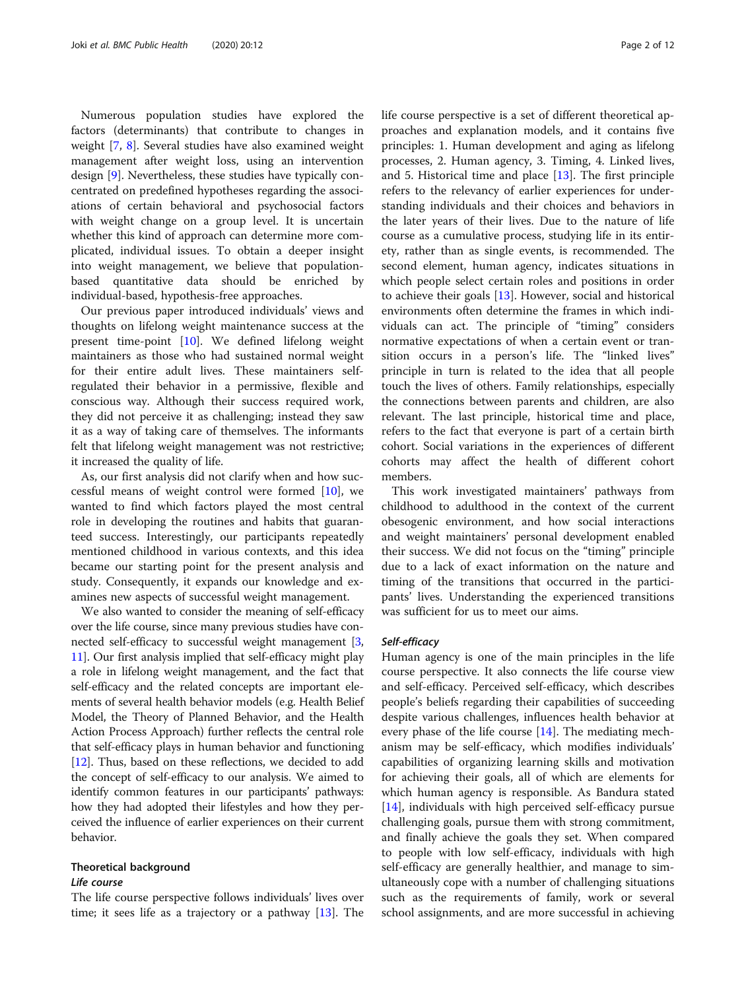Numerous population studies have explored the factors (determinants) that contribute to changes in weight [\[7](#page-10-0), [8\]](#page-10-0). Several studies have also examined weight management after weight loss, using an intervention design [[9\]](#page-10-0). Nevertheless, these studies have typically concentrated on predefined hypotheses regarding the associations of certain behavioral and psychosocial factors with weight change on a group level. It is uncertain whether this kind of approach can determine more complicated, individual issues. To obtain a deeper insight into weight management, we believe that populationbased quantitative data should be enriched by individual-based, hypothesis-free approaches.

Our previous paper introduced individuals' views and thoughts on lifelong weight maintenance success at the present time-point [[10\]](#page-10-0). We defined lifelong weight maintainers as those who had sustained normal weight for their entire adult lives. These maintainers selfregulated their behavior in a permissive, flexible and conscious way. Although their success required work, they did not perceive it as challenging; instead they saw it as a way of taking care of themselves. The informants felt that lifelong weight management was not restrictive; it increased the quality of life.

As, our first analysis did not clarify when and how successful means of weight control were formed  $[10]$  $[10]$ , we wanted to find which factors played the most central role in developing the routines and habits that guaranteed success. Interestingly, our participants repeatedly mentioned childhood in various contexts, and this idea became our starting point for the present analysis and study. Consequently, it expands our knowledge and examines new aspects of successful weight management.

We also wanted to consider the meaning of self-efficacy over the life course, since many previous studies have connected self-efficacy to successful weight management [[3](#page-10-0), [11](#page-11-0)]. Our first analysis implied that self-efficacy might play a role in lifelong weight management, and the fact that self-efficacy and the related concepts are important elements of several health behavior models (e.g. Health Belief Model, the Theory of Planned Behavior, and the Health Action Process Approach) further reflects the central role that self-efficacy plays in human behavior and functioning [[12](#page-11-0)]. Thus, based on these reflections, we decided to add the concept of self-efficacy to our analysis. We aimed to identify common features in our participants' pathways: how they had adopted their lifestyles and how they perceived the influence of earlier experiences on their current behavior.

# Theoretical background Life course

The life course perspective follows individuals' lives over time; it sees life as a trajectory or a pathway [[13\]](#page-11-0). The life course perspective is a set of different theoretical approaches and explanation models, and it contains five principles: 1. Human development and aging as lifelong processes, 2. Human agency, 3. Timing, 4. Linked lives, and 5. Historical time and place [[13\]](#page-11-0). The first principle refers to the relevancy of earlier experiences for understanding individuals and their choices and behaviors in the later years of their lives. Due to the nature of life course as a cumulative process, studying life in its entirety, rather than as single events, is recommended. The second element, human agency, indicates situations in which people select certain roles and positions in order to achieve their goals  $[13]$  $[13]$  $[13]$ . However, social and historical environments often determine the frames in which individuals can act. The principle of "timing" considers normative expectations of when a certain event or transition occurs in a person's life. The "linked lives" principle in turn is related to the idea that all people touch the lives of others. Family relationships, especially the connections between parents and children, are also relevant. The last principle, historical time and place, refers to the fact that everyone is part of a certain birth cohort. Social variations in the experiences of different cohorts may affect the health of different cohort members.

This work investigated maintainers' pathways from childhood to adulthood in the context of the current obesogenic environment, and how social interactions and weight maintainers' personal development enabled their success. We did not focus on the "timing" principle due to a lack of exact information on the nature and timing of the transitions that occurred in the participants' lives. Understanding the experienced transitions was sufficient for us to meet our aims.

## Self-efficacy

Human agency is one of the main principles in the life course perspective. It also connects the life course view and self-efficacy. Perceived self-efficacy, which describes people's beliefs regarding their capabilities of succeeding despite various challenges, influences health behavior at every phase of the life course [\[14](#page-11-0)]. The mediating mechanism may be self-efficacy, which modifies individuals' capabilities of organizing learning skills and motivation for achieving their goals, all of which are elements for which human agency is responsible. As Bandura stated [[14\]](#page-11-0), individuals with high perceived self-efficacy pursue challenging goals, pursue them with strong commitment, and finally achieve the goals they set. When compared to people with low self-efficacy, individuals with high self-efficacy are generally healthier, and manage to simultaneously cope with a number of challenging situations such as the requirements of family, work or several school assignments, and are more successful in achieving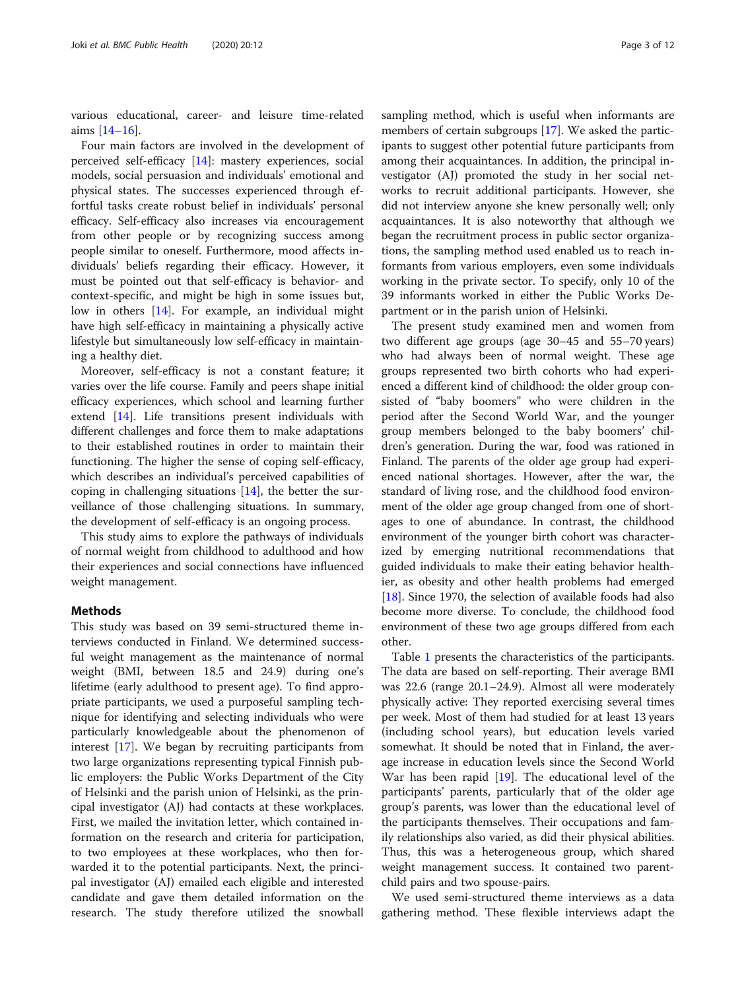various educational, career- and leisure time-related aims [[14](#page-11-0)–[16](#page-11-0)].

Four main factors are involved in the development of perceived self-efficacy [\[14\]](#page-11-0): mastery experiences, social models, social persuasion and individuals' emotional and physical states. The successes experienced through effortful tasks create robust belief in individuals' personal efficacy. Self-efficacy also increases via encouragement from other people or by recognizing success among people similar to oneself. Furthermore, mood affects individuals' beliefs regarding their efficacy. However, it must be pointed out that self-efficacy is behavior- and context-specific, and might be high in some issues but, low in others [\[14\]](#page-11-0). For example, an individual might have high self-efficacy in maintaining a physically active lifestyle but simultaneously low self-efficacy in maintaining a healthy diet.

Moreover, self-efficacy is not a constant feature; it varies over the life course. Family and peers shape initial efficacy experiences, which school and learning further extend [[14](#page-11-0)]. Life transitions present individuals with different challenges and force them to make adaptations to their established routines in order to maintain their functioning. The higher the sense of coping self-efficacy, which describes an individual's perceived capabilities of coping in challenging situations  $[14]$ , the better the surveillance of those challenging situations. In summary, the development of self-efficacy is an ongoing process.

This study aims to explore the pathways of individuals of normal weight from childhood to adulthood and how their experiences and social connections have influenced weight management.

# **Methods**

This study was based on 39 semi-structured theme interviews conducted in Finland. We determined successful weight management as the maintenance of normal weight (BMI, between 18.5 and 24.9) during one's lifetime (early adulthood to present age). To find appropriate participants, we used a purposeful sampling technique for identifying and selecting individuals who were particularly knowledgeable about the phenomenon of interest [[17](#page-11-0)]. We began by recruiting participants from two large organizations representing typical Finnish public employers: the Public Works Department of the City of Helsinki and the parish union of Helsinki, as the principal investigator (AJ) had contacts at these workplaces. First, we mailed the invitation letter, which contained information on the research and criteria for participation, to two employees at these workplaces, who then forwarded it to the potential participants. Next, the principal investigator (AJ) emailed each eligible and interested candidate and gave them detailed information on the research. The study therefore utilized the snowball sampling method, which is useful when informants are members of certain subgroups [\[17\]](#page-11-0). We asked the participants to suggest other potential future participants from among their acquaintances. In addition, the principal investigator (AJ) promoted the study in her social networks to recruit additional participants. However, she did not interview anyone she knew personally well; only acquaintances. It is also noteworthy that although we began the recruitment process in public sector organizations, the sampling method used enabled us to reach informants from various employers, even some individuals working in the private sector. To specify, only 10 of the 39 informants worked in either the Public Works Department or in the parish union of Helsinki.

The present study examined men and women from two different age groups (age 30–45 and 55–70 years) who had always been of normal weight. These age groups represented two birth cohorts who had experienced a different kind of childhood: the older group consisted of "baby boomers" who were children in the period after the Second World War, and the younger group members belonged to the baby boomers' children's generation. During the war, food was rationed in Finland. The parents of the older age group had experienced national shortages. However, after the war, the standard of living rose, and the childhood food environment of the older age group changed from one of shortages to one of abundance. In contrast, the childhood environment of the younger birth cohort was characterized by emerging nutritional recommendations that guided individuals to make their eating behavior healthier, as obesity and other health problems had emerged [[18\]](#page-11-0). Since 1970, the selection of available foods had also become more diverse. To conclude, the childhood food environment of these two age groups differed from each other.

Table [1](#page-3-0) presents the characteristics of the participants. The data are based on self-reporting. Their average BMI was 22.6 (range 20.1–24.9). Almost all were moderately physically active: They reported exercising several times per week. Most of them had studied for at least 13 years (including school years), but education levels varied somewhat. It should be noted that in Finland, the average increase in education levels since the Second World War has been rapid [\[19\]](#page-11-0). The educational level of the participants' parents, particularly that of the older age group's parents, was lower than the educational level of the participants themselves. Their occupations and family relationships also varied, as did their physical abilities. Thus, this was a heterogeneous group, which shared weight management success. It contained two parentchild pairs and two spouse-pairs.

We used semi-structured theme interviews as a data gathering method. These flexible interviews adapt the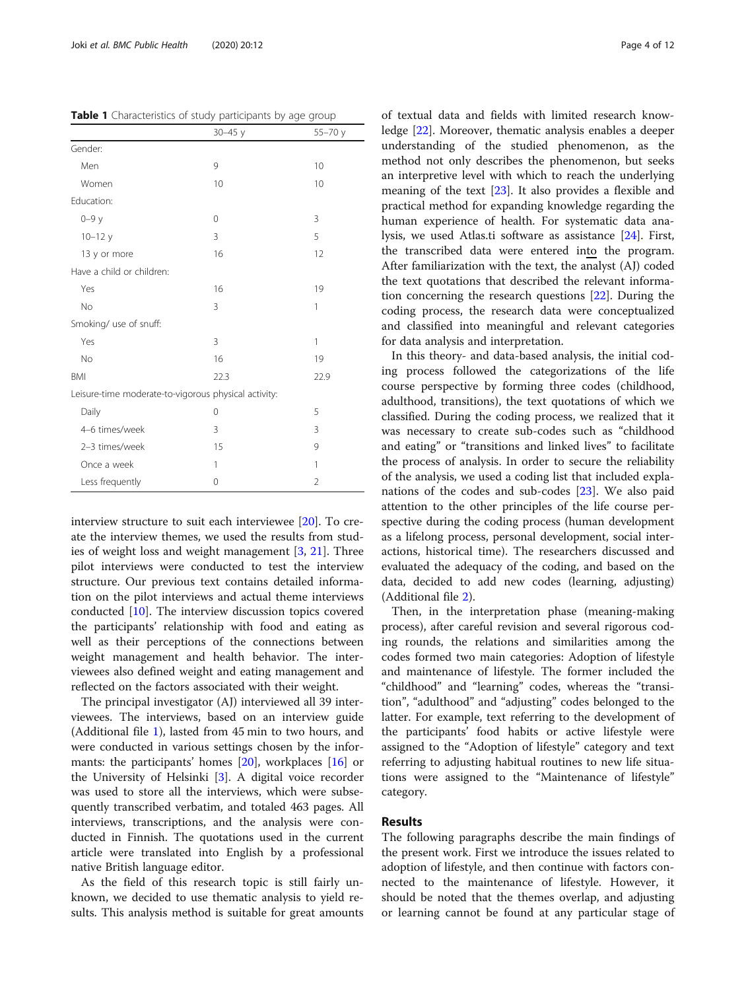<span id="page-3-0"></span>Table 1 Characteristics of study participants by age group

|                                                      | $30 - 45y$ | $55 - 70y$     |
|------------------------------------------------------|------------|----------------|
| Gender:                                              |            |                |
| Men                                                  | 9          | 10             |
| Women                                                | 10         | 10             |
| Education:                                           |            |                |
| $0 - 9y$                                             | 0          | 3              |
| $10 - 12y$                                           | 3          | 5              |
| 13 y or more                                         | 16         | 12             |
| Have a child or children:                            |            |                |
| Yes                                                  | 16         | 19             |
| No                                                   | 3          | 1              |
| Smoking/ use of snuff:                               |            |                |
| Yes                                                  | 3          | 1              |
| No                                                   | 16         | 19             |
| <b>BMI</b>                                           | 22.3       | 22.9           |
| Leisure-time moderate-to-vigorous physical activity: |            |                |
| Daily                                                | 0          | 5              |
| 4-6 times/week                                       | 3          | 3              |
| 2-3 times/week                                       | 15         | 9              |
| Once a week                                          | 1          | 1              |
| Less frequently                                      | 0          | $\overline{2}$ |

interview structure to suit each interviewee [\[20](#page-11-0)]. To create the interview themes, we used the results from studies of weight loss and weight management [[3,](#page-10-0) [21\]](#page-11-0). Three pilot interviews were conducted to test the interview structure. Our previous text contains detailed information on the pilot interviews and actual theme interviews conducted [\[10\]](#page-10-0). The interview discussion topics covered the participants' relationship with food and eating as well as their perceptions of the connections between weight management and health behavior. The interviewees also defined weight and eating management and reflected on the factors associated with their weight.

The principal investigator (AJ) interviewed all 39 interviewees. The interviews, based on an interview guide (Additional file [1\)](#page-10-0), lasted from 45 min to two hours, and were conducted in various settings chosen by the informants: the participants' homes [[20\]](#page-11-0), workplaces [[16\]](#page-11-0) or the University of Helsinki [\[3](#page-10-0)]. A digital voice recorder was used to store all the interviews, which were subsequently transcribed verbatim, and totaled 463 pages. All interviews, transcriptions, and the analysis were conducted in Finnish. The quotations used in the current article were translated into English by a professional native British language editor.

As the field of this research topic is still fairly unknown, we decided to use thematic analysis to yield results. This analysis method is suitable for great amounts

of textual data and fields with limited research knowledge [[22](#page-11-0)]. Moreover, thematic analysis enables a deeper understanding of the studied phenomenon, as the method not only describes the phenomenon, but seeks an interpretive level with which to reach the underlying meaning of the text [[23\]](#page-11-0). It also provides a flexible and practical method for expanding knowledge regarding the human experience of health. For systematic data analysis, we used Atlas.ti software as assistance [[24](#page-11-0)]. First, the transcribed data were entered into the program. After familiarization with the text, the analyst (AJ) coded the text quotations that described the relevant information concerning the research questions [\[22\]](#page-11-0). During the coding process, the research data were conceptualized and classified into meaningful and relevant categories for data analysis and interpretation.

In this theory- and data-based analysis, the initial coding process followed the categorizations of the life course perspective by forming three codes (childhood, adulthood, transitions), the text quotations of which we classified. During the coding process, we realized that it was necessary to create sub-codes such as "childhood and eating" or "transitions and linked lives" to facilitate the process of analysis. In order to secure the reliability of the analysis, we used a coding list that included explanations of the codes and sub-codes [[23\]](#page-11-0). We also paid attention to the other principles of the life course perspective during the coding process (human development as a lifelong process, personal development, social interactions, historical time). The researchers discussed and evaluated the adequacy of the coding, and based on the data, decided to add new codes (learning, adjusting) (Additional file [2](#page-10-0)).

Then, in the interpretation phase (meaning-making process), after careful revision and several rigorous coding rounds, the relations and similarities among the codes formed two main categories: Adoption of lifestyle and maintenance of lifestyle. The former included the "childhood" and "learning" codes, whereas the "transition", "adulthood" and "adjusting" codes belonged to the latter. For example, text referring to the development of the participants' food habits or active lifestyle were assigned to the "Adoption of lifestyle" category and text referring to adjusting habitual routines to new life situations were assigned to the "Maintenance of lifestyle" category.

## Results

The following paragraphs describe the main findings of the present work. First we introduce the issues related to adoption of lifestyle, and then continue with factors connected to the maintenance of lifestyle. However, it should be noted that the themes overlap, and adjusting or learning cannot be found at any particular stage of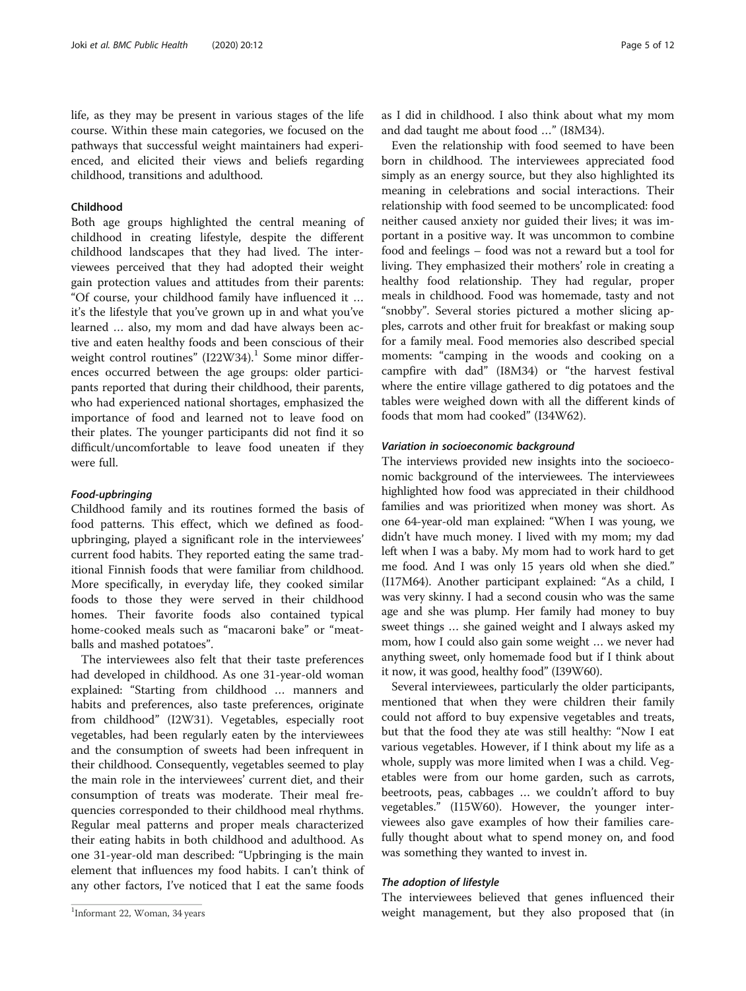life, as they may be present in various stages of the life course. Within these main categories, we focused on the pathways that successful weight maintainers had experienced, and elicited their views and beliefs regarding childhood, transitions and adulthood.

## Childhood

Both age groups highlighted the central meaning of childhood in creating lifestyle, despite the different childhood landscapes that they had lived. The interviewees perceived that they had adopted their weight gain protection values and attitudes from their parents: "Of course, your childhood family have influenced it … it's the lifestyle that you've grown up in and what you've learned … also, my mom and dad have always been active and eaten healthy foods and been conscious of their weight control routines"  $(I22W34).$ <sup>1</sup> Some minor differences occurred between the age groups: older participants reported that during their childhood, their parents, who had experienced national shortages, emphasized the importance of food and learned not to leave food on their plates. The younger participants did not find it so difficult/uncomfortable to leave food uneaten if they were full.

## Food-upbringing

Childhood family and its routines formed the basis of food patterns. This effect, which we defined as foodupbringing, played a significant role in the interviewees' current food habits. They reported eating the same traditional Finnish foods that were familiar from childhood. More specifically, in everyday life, they cooked similar foods to those they were served in their childhood homes. Their favorite foods also contained typical home-cooked meals such as "macaroni bake" or "meatballs and mashed potatoes".

The interviewees also felt that their taste preferences had developed in childhood. As one 31-year-old woman explained: "Starting from childhood … manners and habits and preferences, also taste preferences, originate from childhood" (I2W31). Vegetables, especially root vegetables, had been regularly eaten by the interviewees and the consumption of sweets had been infrequent in their childhood. Consequently, vegetables seemed to play the main role in the interviewees' current diet, and their consumption of treats was moderate. Their meal frequencies corresponded to their childhood meal rhythms. Regular meal patterns and proper meals characterized their eating habits in both childhood and adulthood. As one 31-year-old man described: "Upbringing is the main element that influences my food habits. I can't think of any other factors, I've noticed that I eat the same foods as I did in childhood. I also think about what my mom and dad taught me about food …" (I8M34).

Even the relationship with food seemed to have been born in childhood. The interviewees appreciated food simply as an energy source, but they also highlighted its meaning in celebrations and social interactions. Their relationship with food seemed to be uncomplicated: food neither caused anxiety nor guided their lives; it was important in a positive way. It was uncommon to combine food and feelings – food was not a reward but a tool for living. They emphasized their mothers' role in creating a healthy food relationship. They had regular, proper meals in childhood. Food was homemade, tasty and not "snobby". Several stories pictured a mother slicing apples, carrots and other fruit for breakfast or making soup for a family meal. Food memories also described special moments: "camping in the woods and cooking on a campfire with dad" (I8M34) or "the harvest festival where the entire village gathered to dig potatoes and the tables were weighed down with all the different kinds of foods that mom had cooked" (I34W62).

## Variation in socioeconomic background

The interviews provided new insights into the socioeconomic background of the interviewees. The interviewees highlighted how food was appreciated in their childhood families and was prioritized when money was short. As one 64-year-old man explained: "When I was young, we didn't have much money. I lived with my mom; my dad left when I was a baby. My mom had to work hard to get me food. And I was only 15 years old when she died." (I17M64). Another participant explained: "As a child, I was very skinny. I had a second cousin who was the same age and she was plump. Her family had money to buy sweet things … she gained weight and I always asked my mom, how I could also gain some weight … we never had anything sweet, only homemade food but if I think about it now, it was good, healthy food" (I39W60).

Several interviewees, particularly the older participants, mentioned that when they were children their family could not afford to buy expensive vegetables and treats, but that the food they ate was still healthy: "Now I eat various vegetables. However, if I think about my life as a whole, supply was more limited when I was a child. Vegetables were from our home garden, such as carrots, beetroots, peas, cabbages … we couldn't afford to buy vegetables." (I15W60). However, the younger interviewees also gave examples of how their families carefully thought about what to spend money on, and food was something they wanted to invest in.

# The adoption of lifestyle

The interviewees believed that genes influenced their weight management, but they also proposed that (in <sup>1</sup>

<sup>&</sup>lt;sup>1</sup>Informant 22, Woman, 34 years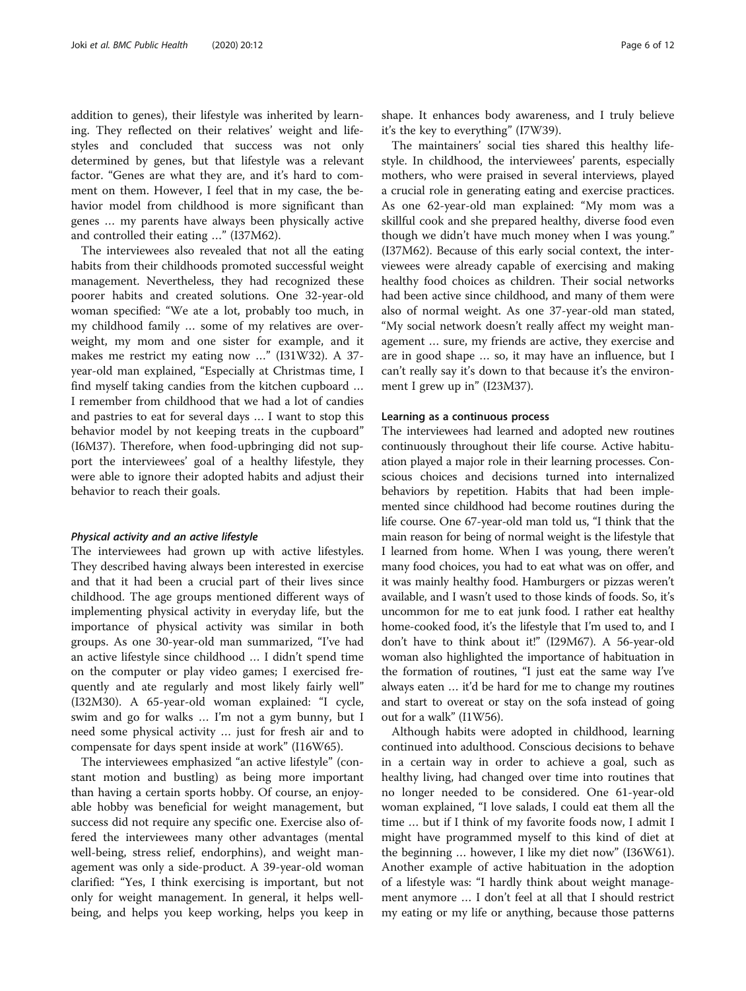addition to genes), their lifestyle was inherited by learning. They reflected on their relatives' weight and lifestyles and concluded that success was not only determined by genes, but that lifestyle was a relevant factor. "Genes are what they are, and it's hard to comment on them. However, I feel that in my case, the behavior model from childhood is more significant than genes … my parents have always been physically active and controlled their eating …" (I37M62).

The interviewees also revealed that not all the eating habits from their childhoods promoted successful weight management. Nevertheless, they had recognized these poorer habits and created solutions. One 32-year-old woman specified: "We ate a lot, probably too much, in my childhood family … some of my relatives are overweight, my mom and one sister for example, and it makes me restrict my eating now …" (I31W32). A 37 year-old man explained, "Especially at Christmas time, I find myself taking candies from the kitchen cupboard … I remember from childhood that we had a lot of candies and pastries to eat for several days … I want to stop this behavior model by not keeping treats in the cupboard" (I6M37). Therefore, when food-upbringing did not support the interviewees' goal of a healthy lifestyle, they were able to ignore their adopted habits and adjust their behavior to reach their goals.

#### Physical activity and an active lifestyle

The interviewees had grown up with active lifestyles. They described having always been interested in exercise and that it had been a crucial part of their lives since childhood. The age groups mentioned different ways of implementing physical activity in everyday life, but the importance of physical activity was similar in both groups. As one 30-year-old man summarized, "I've had an active lifestyle since childhood … I didn't spend time on the computer or play video games; I exercised frequently and ate regularly and most likely fairly well" (I32M30). A 65-year-old woman explained: "I cycle, swim and go for walks … I'm not a gym bunny, but I need some physical activity … just for fresh air and to compensate for days spent inside at work" (I16W65).

The interviewees emphasized "an active lifestyle" (constant motion and bustling) as being more important than having a certain sports hobby. Of course, an enjoyable hobby was beneficial for weight management, but success did not require any specific one. Exercise also offered the interviewees many other advantages (mental well-being, stress relief, endorphins), and weight management was only a side-product. A 39-year-old woman clarified: "Yes, I think exercising is important, but not only for weight management. In general, it helps wellbeing, and helps you keep working, helps you keep in

shape. It enhances body awareness, and I truly believe it's the key to everything" (I7W39).

The maintainers' social ties shared this healthy lifestyle. In childhood, the interviewees' parents, especially mothers, who were praised in several interviews, played a crucial role in generating eating and exercise practices. As one 62-year-old man explained: "My mom was a skillful cook and she prepared healthy, diverse food even though we didn't have much money when I was young." (I37M62). Because of this early social context, the interviewees were already capable of exercising and making healthy food choices as children. Their social networks had been active since childhood, and many of them were also of normal weight. As one 37-year-old man stated, "My social network doesn't really affect my weight management … sure, my friends are active, they exercise and are in good shape … so, it may have an influence, but I can't really say it's down to that because it's the environment I grew up in" (I23M37).

#### Learning as a continuous process

The interviewees had learned and adopted new routines continuously throughout their life course. Active habituation played a major role in their learning processes. Conscious choices and decisions turned into internalized behaviors by repetition. Habits that had been implemented since childhood had become routines during the life course. One 67-year-old man told us, "I think that the main reason for being of normal weight is the lifestyle that I learned from home. When I was young, there weren't many food choices, you had to eat what was on offer, and it was mainly healthy food. Hamburgers or pizzas weren't available, and I wasn't used to those kinds of foods. So, it's uncommon for me to eat junk food. I rather eat healthy home-cooked food, it's the lifestyle that I'm used to, and I don't have to think about it!" (I29M67). A 56-year-old woman also highlighted the importance of habituation in the formation of routines, "I just eat the same way I've always eaten … it'd be hard for me to change my routines and start to overeat or stay on the sofa instead of going out for a walk" (I1W56).

Although habits were adopted in childhood, learning continued into adulthood. Conscious decisions to behave in a certain way in order to achieve a goal, such as healthy living, had changed over time into routines that no longer needed to be considered. One 61-year-old woman explained, "I love salads, I could eat them all the time … but if I think of my favorite foods now, I admit I might have programmed myself to this kind of diet at the beginning … however, I like my diet now" (I36W61). Another example of active habituation in the adoption of a lifestyle was: "I hardly think about weight management anymore … I don't feel at all that I should restrict my eating or my life or anything, because those patterns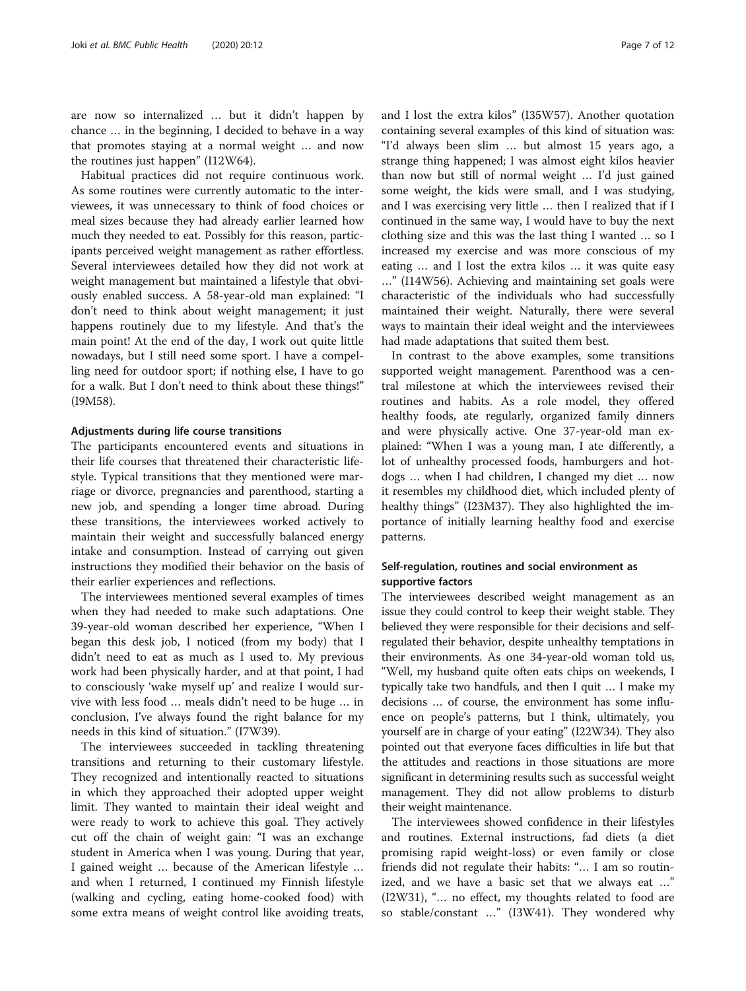are now so internalized … but it didn't happen by chance … in the beginning, I decided to behave in a way that promotes staying at a normal weight … and now the routines just happen" (I12W64).

Habitual practices did not require continuous work. As some routines were currently automatic to the interviewees, it was unnecessary to think of food choices or meal sizes because they had already earlier learned how much they needed to eat. Possibly for this reason, participants perceived weight management as rather effortless. Several interviewees detailed how they did not work at weight management but maintained a lifestyle that obviously enabled success. A 58-year-old man explained: "I don't need to think about weight management; it just happens routinely due to my lifestyle. And that's the main point! At the end of the day, I work out quite little nowadays, but I still need some sport. I have a compelling need for outdoor sport; if nothing else, I have to go for a walk. But I don't need to think about these things!" (I9M58).

### Adjustments during life course transitions

The participants encountered events and situations in their life courses that threatened their characteristic lifestyle. Typical transitions that they mentioned were marriage or divorce, pregnancies and parenthood, starting a new job, and spending a longer time abroad. During these transitions, the interviewees worked actively to maintain their weight and successfully balanced energy intake and consumption. Instead of carrying out given instructions they modified their behavior on the basis of their earlier experiences and reflections.

The interviewees mentioned several examples of times when they had needed to make such adaptations. One 39-year-old woman described her experience, "When I began this desk job, I noticed (from my body) that I didn't need to eat as much as I used to. My previous work had been physically harder, and at that point, I had to consciously 'wake myself up' and realize I would survive with less food … meals didn't need to be huge … in conclusion, I've always found the right balance for my needs in this kind of situation." (I7W39).

The interviewees succeeded in tackling threatening transitions and returning to their customary lifestyle. They recognized and intentionally reacted to situations in which they approached their adopted upper weight limit. They wanted to maintain their ideal weight and were ready to work to achieve this goal. They actively cut off the chain of weight gain: "I was an exchange student in America when I was young. During that year, I gained weight … because of the American lifestyle … and when I returned, I continued my Finnish lifestyle (walking and cycling, eating home-cooked food) with some extra means of weight control like avoiding treats, and I lost the extra kilos" (I35W57). Another quotation containing several examples of this kind of situation was: "I'd always been slim … but almost 15 years ago, a strange thing happened; I was almost eight kilos heavier than now but still of normal weight … I'd just gained some weight, the kids were small, and I was studying, and I was exercising very little … then I realized that if I continued in the same way, I would have to buy the next clothing size and this was the last thing I wanted … so I increased my exercise and was more conscious of my eating … and I lost the extra kilos … it was quite easy …" (I14W56). Achieving and maintaining set goals were characteristic of the individuals who had successfully maintained their weight. Naturally, there were several ways to maintain their ideal weight and the interviewees had made adaptations that suited them best.

In contrast to the above examples, some transitions supported weight management. Parenthood was a central milestone at which the interviewees revised their routines and habits. As a role model, they offered healthy foods, ate regularly, organized family dinners and were physically active. One 37-year-old man explained: "When I was a young man, I ate differently, a lot of unhealthy processed foods, hamburgers and hotdogs … when I had children, I changed my diet … now it resembles my childhood diet, which included plenty of healthy things" (I23M37). They also highlighted the importance of initially learning healthy food and exercise patterns.

# Self-regulation, routines and social environment as supportive factors

The interviewees described weight management as an issue they could control to keep their weight stable. They believed they were responsible for their decisions and selfregulated their behavior, despite unhealthy temptations in their environments. As one 34-year-old woman told us, "Well, my husband quite often eats chips on weekends, I typically take two handfuls, and then I quit … I make my decisions … of course, the environment has some influence on people's patterns, but I think, ultimately, you yourself are in charge of your eating" (I22W34). They also pointed out that everyone faces difficulties in life but that the attitudes and reactions in those situations are more significant in determining results such as successful weight management. They did not allow problems to disturb their weight maintenance.

The interviewees showed confidence in their lifestyles and routines. External instructions, fad diets (a diet promising rapid weight-loss) or even family or close friends did not regulate their habits: "… I am so routinized, and we have a basic set that we always eat …" (I2W31), "… no effect, my thoughts related to food are so stable/constant …" (I3W41). They wondered why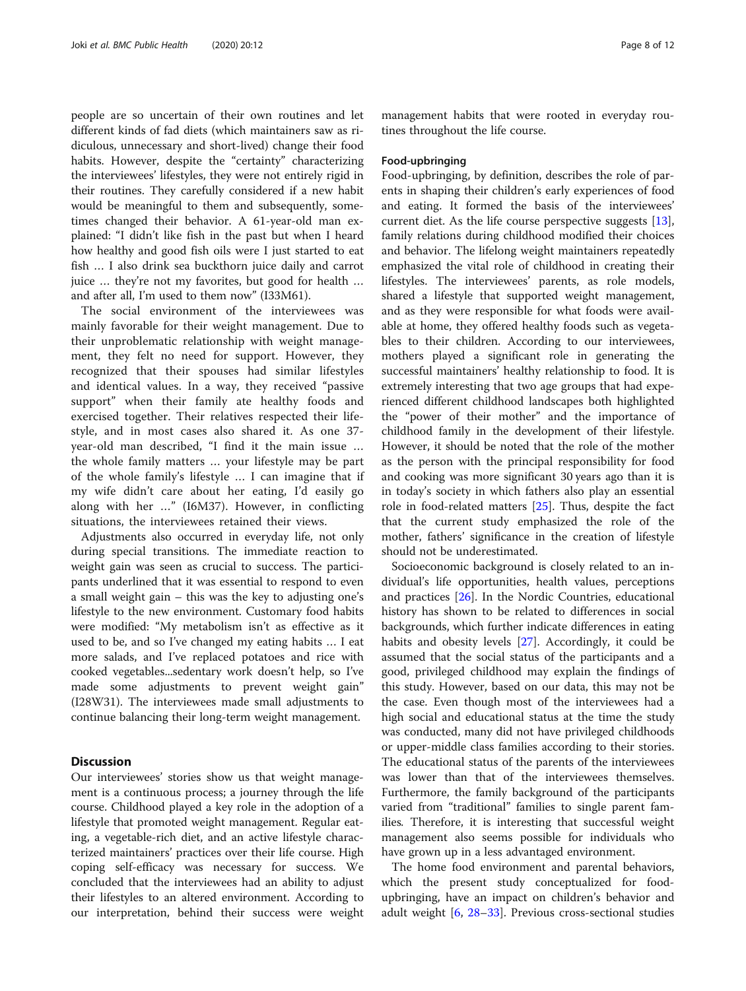people are so uncertain of their own routines and let different kinds of fad diets (which maintainers saw as ridiculous, unnecessary and short-lived) change their food habits. However, despite the "certainty" characterizing the interviewees' lifestyles, they were not entirely rigid in their routines. They carefully considered if a new habit would be meaningful to them and subsequently, sometimes changed their behavior. A 61-year-old man explained: "I didn't like fish in the past but when I heard how healthy and good fish oils were I just started to eat fish … I also drink sea buckthorn juice daily and carrot juice … they're not my favorites, but good for health … and after all, I'm used to them now" (I33M61).

The social environment of the interviewees was mainly favorable for their weight management. Due to their unproblematic relationship with weight management, they felt no need for support. However, they recognized that their spouses had similar lifestyles and identical values. In a way, they received "passive support" when their family ate healthy foods and exercised together. Their relatives respected their lifestyle, and in most cases also shared it. As one 37 year-old man described, "I find it the main issue … the whole family matters … your lifestyle may be part of the whole family's lifestyle … I can imagine that if my wife didn't care about her eating, I'd easily go along with her …" (I6M37). However, in conflicting situations, the interviewees retained their views.

Adjustments also occurred in everyday life, not only during special transitions. The immediate reaction to weight gain was seen as crucial to success. The participants underlined that it was essential to respond to even a small weight gain – this was the key to adjusting one's lifestyle to the new environment. Customary food habits were modified: "My metabolism isn't as effective as it used to be, and so I've changed my eating habits … I eat more salads, and I've replaced potatoes and rice with cooked vegetables...sedentary work doesn't help, so I've made some adjustments to prevent weight gain" (I28W31). The interviewees made small adjustments to continue balancing their long-term weight management.

## **Discussion**

Our interviewees' stories show us that weight management is a continuous process; a journey through the life course. Childhood played a key role in the adoption of a lifestyle that promoted weight management. Regular eating, a vegetable-rich diet, and an active lifestyle characterized maintainers' practices over their life course. High coping self-efficacy was necessary for success. We concluded that the interviewees had an ability to adjust their lifestyles to an altered environment. According to our interpretation, behind their success were weight

management habits that were rooted in everyday routines throughout the life course.

#### Food-upbringing

Food-upbringing, by definition, describes the role of parents in shaping their children's early experiences of food and eating. It formed the basis of the interviewees' current diet. As the life course perspective suggests [\[13](#page-11-0)], family relations during childhood modified their choices and behavior. The lifelong weight maintainers repeatedly emphasized the vital role of childhood in creating their lifestyles. The interviewees' parents, as role models, shared a lifestyle that supported weight management, and as they were responsible for what foods were available at home, they offered healthy foods such as vegetables to their children. According to our interviewees, mothers played a significant role in generating the successful maintainers' healthy relationship to food. It is extremely interesting that two age groups that had experienced different childhood landscapes both highlighted the "power of their mother" and the importance of childhood family in the development of their lifestyle. However, it should be noted that the role of the mother as the person with the principal responsibility for food and cooking was more significant 30 years ago than it is in today's society in which fathers also play an essential role in food-related matters [[25\]](#page-11-0). Thus, despite the fact that the current study emphasized the role of the mother, fathers' significance in the creation of lifestyle should not be underestimated.

Socioeconomic background is closely related to an individual's life opportunities, health values, perceptions and practices [\[26\]](#page-11-0). In the Nordic Countries, educational history has shown to be related to differences in social backgrounds, which further indicate differences in eating habits and obesity levels [[27\]](#page-11-0). Accordingly, it could be assumed that the social status of the participants and a good, privileged childhood may explain the findings of this study. However, based on our data, this may not be the case. Even though most of the interviewees had a high social and educational status at the time the study was conducted, many did not have privileged childhoods or upper-middle class families according to their stories. The educational status of the parents of the interviewees was lower than that of the interviewees themselves. Furthermore, the family background of the participants varied from "traditional" families to single parent families. Therefore, it is interesting that successful weight management also seems possible for individuals who have grown up in a less advantaged environment.

The home food environment and parental behaviors, which the present study conceptualized for foodupbringing, have an impact on children's behavior and adult weight [[6,](#page-10-0) [28](#page-11-0)–[33](#page-11-0)]. Previous cross-sectional studies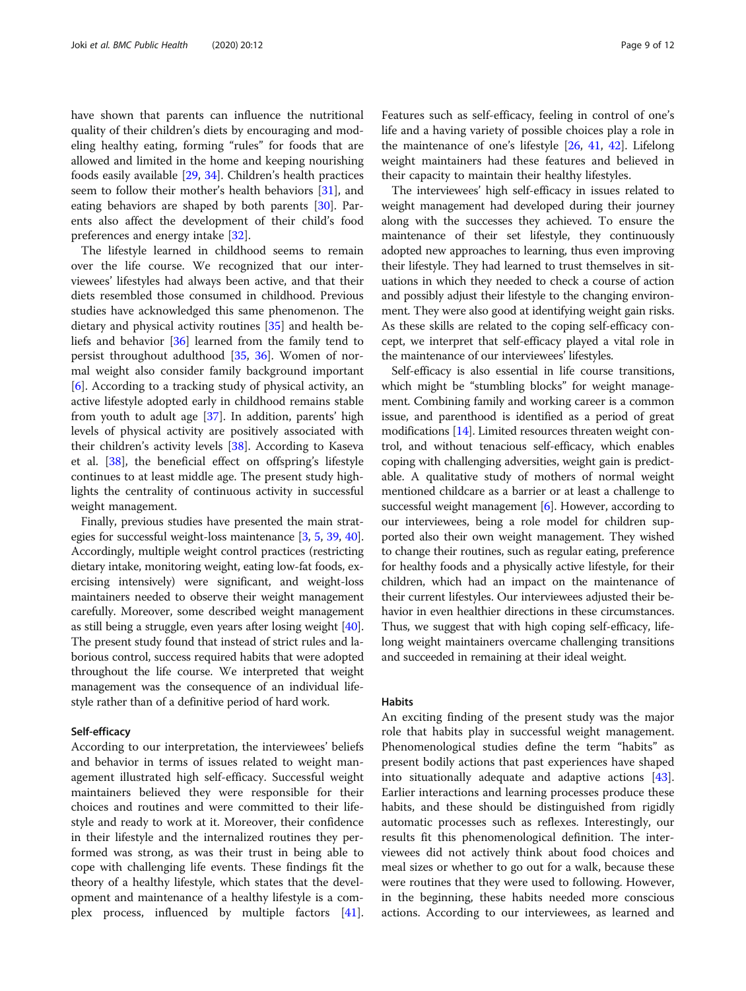have shown that parents can influence the nutritional quality of their children's diets by encouraging and modeling healthy eating, forming "rules" for foods that are allowed and limited in the home and keeping nourishing foods easily available [\[29](#page-11-0), [34](#page-11-0)]. Children's health practices seem to follow their mother's health behaviors [[31\]](#page-11-0), and eating behaviors are shaped by both parents [[30\]](#page-11-0). Parents also affect the development of their child's food preferences and energy intake [\[32\]](#page-11-0).

The lifestyle learned in childhood seems to remain over the life course. We recognized that our interviewees' lifestyles had always been active, and that their diets resembled those consumed in childhood. Previous studies have acknowledged this same phenomenon. The dietary and physical activity routines [\[35](#page-11-0)] and health beliefs and behavior [[36](#page-11-0)] learned from the family tend to persist throughout adulthood [\[35](#page-11-0), [36](#page-11-0)]. Women of normal weight also consider family background important [[6\]](#page-10-0). According to a tracking study of physical activity, an active lifestyle adopted early in childhood remains stable from youth to adult age [\[37](#page-11-0)]. In addition, parents' high levels of physical activity are positively associated with their children's activity levels [\[38\]](#page-11-0). According to Kaseva et al. [\[38\]](#page-11-0), the beneficial effect on offspring's lifestyle continues to at least middle age. The present study highlights the centrality of continuous activity in successful weight management.

Finally, previous studies have presented the main strategies for successful weight-loss maintenance [\[3](#page-10-0), [5,](#page-10-0) [39,](#page-11-0) [40](#page-11-0)]. Accordingly, multiple weight control practices (restricting dietary intake, monitoring weight, eating low-fat foods, exercising intensively) were significant, and weight-loss maintainers needed to observe their weight management carefully. Moreover, some described weight management as still being a struggle, even years after losing weight [[40](#page-11-0)]. The present study found that instead of strict rules and laborious control, success required habits that were adopted throughout the life course. We interpreted that weight management was the consequence of an individual lifestyle rather than of a definitive period of hard work.

#### Self-efficacy

According to our interpretation, the interviewees' beliefs and behavior in terms of issues related to weight management illustrated high self-efficacy. Successful weight maintainers believed they were responsible for their choices and routines and were committed to their lifestyle and ready to work at it. Moreover, their confidence in their lifestyle and the internalized routines they performed was strong, as was their trust in being able to cope with challenging life events. These findings fit the theory of a healthy lifestyle, which states that the development and maintenance of a healthy lifestyle is a complex process, influenced by multiple factors [\[41](#page-11-0)].

Features such as self-efficacy, feeling in control of one's life and a having variety of possible choices play a role in the maintenance of one's lifestyle [[26](#page-11-0), [41,](#page-11-0) [42\]](#page-11-0). Lifelong weight maintainers had these features and believed in their capacity to maintain their healthy lifestyles.

The interviewees' high self-efficacy in issues related to weight management had developed during their journey along with the successes they achieved. To ensure the maintenance of their set lifestyle, they continuously adopted new approaches to learning, thus even improving their lifestyle. They had learned to trust themselves in situations in which they needed to check a course of action and possibly adjust their lifestyle to the changing environment. They were also good at identifying weight gain risks. As these skills are related to the coping self-efficacy concept, we interpret that self-efficacy played a vital role in the maintenance of our interviewees' lifestyles.

Self-efficacy is also essential in life course transitions, which might be "stumbling blocks" for weight management. Combining family and working career is a common issue, and parenthood is identified as a period of great modifications [\[14](#page-11-0)]. Limited resources threaten weight control, and without tenacious self-efficacy, which enables coping with challenging adversities, weight gain is predictable. A qualitative study of mothers of normal weight mentioned childcare as a barrier or at least a challenge to successful weight management [[6](#page-10-0)]. However, according to our interviewees, being a role model for children supported also their own weight management. They wished to change their routines, such as regular eating, preference for healthy foods and a physically active lifestyle, for their children, which had an impact on the maintenance of their current lifestyles. Our interviewees adjusted their behavior in even healthier directions in these circumstances. Thus, we suggest that with high coping self-efficacy, lifelong weight maintainers overcame challenging transitions and succeeded in remaining at their ideal weight.

### **Habits**

An exciting finding of the present study was the major role that habits play in successful weight management. Phenomenological studies define the term "habits" as present bodily actions that past experiences have shaped into situationally adequate and adaptive actions [\[43](#page-11-0)]. Earlier interactions and learning processes produce these habits, and these should be distinguished from rigidly automatic processes such as reflexes. Interestingly, our results fit this phenomenological definition. The interviewees did not actively think about food choices and meal sizes or whether to go out for a walk, because these were routines that they were used to following. However, in the beginning, these habits needed more conscious actions. According to our interviewees, as learned and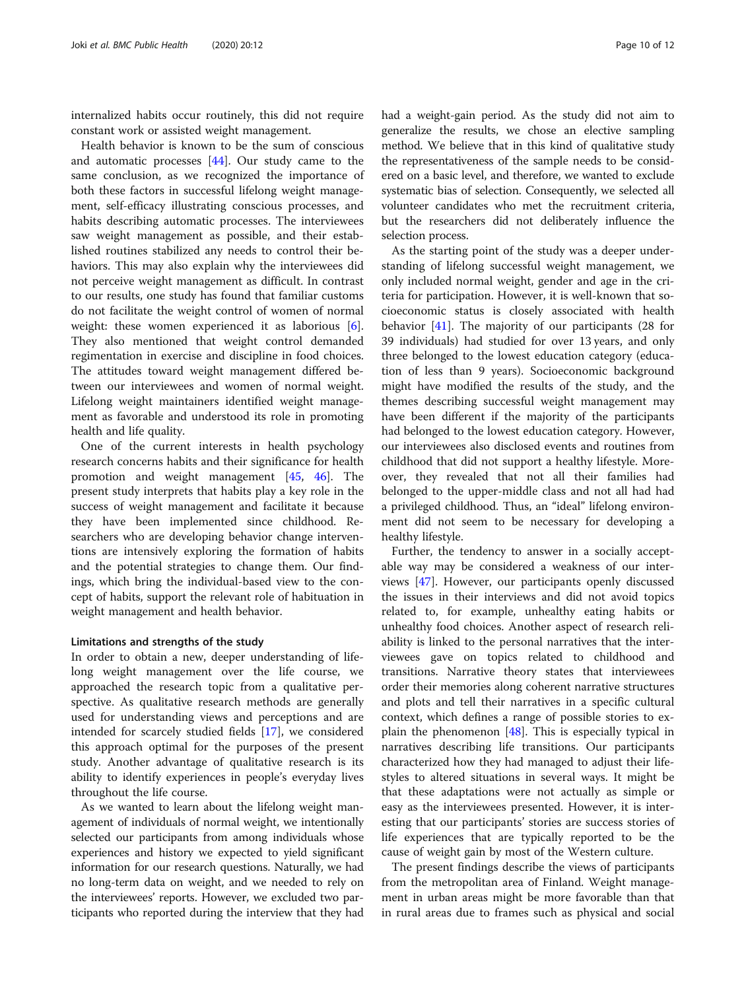internalized habits occur routinely, this did not require constant work or assisted weight management.

Health behavior is known to be the sum of conscious and automatic processes [\[44](#page-11-0)]. Our study came to the same conclusion, as we recognized the importance of both these factors in successful lifelong weight management, self-efficacy illustrating conscious processes, and habits describing automatic processes. The interviewees saw weight management as possible, and their established routines stabilized any needs to control their behaviors. This may also explain why the interviewees did not perceive weight management as difficult. In contrast to our results, one study has found that familiar customs do not facilitate the weight control of women of normal weight: these women experienced it as laborious [\[6](#page-10-0)]. They also mentioned that weight control demanded regimentation in exercise and discipline in food choices. The attitudes toward weight management differed between our interviewees and women of normal weight. Lifelong weight maintainers identified weight management as favorable and understood its role in promoting health and life quality.

One of the current interests in health psychology research concerns habits and their significance for health promotion and weight management [[45,](#page-11-0) [46\]](#page-11-0). The present study interprets that habits play a key role in the success of weight management and facilitate it because they have been implemented since childhood. Researchers who are developing behavior change interventions are intensively exploring the formation of habits and the potential strategies to change them. Our findings, which bring the individual-based view to the concept of habits, support the relevant role of habituation in weight management and health behavior.

# Limitations and strengths of the study

In order to obtain a new, deeper understanding of lifelong weight management over the life course, we approached the research topic from a qualitative perspective. As qualitative research methods are generally used for understanding views and perceptions and are intended for scarcely studied fields [[17](#page-11-0)], we considered this approach optimal for the purposes of the present study. Another advantage of qualitative research is its ability to identify experiences in people's everyday lives throughout the life course.

As we wanted to learn about the lifelong weight management of individuals of normal weight, we intentionally selected our participants from among individuals whose experiences and history we expected to yield significant information for our research questions. Naturally, we had no long-term data on weight, and we needed to rely on the interviewees' reports. However, we excluded two participants who reported during the interview that they had had a weight-gain period. As the study did not aim to generalize the results, we chose an elective sampling method. We believe that in this kind of qualitative study the representativeness of the sample needs to be considered on a basic level, and therefore, we wanted to exclude systematic bias of selection. Consequently, we selected all volunteer candidates who met the recruitment criteria, but the researchers did not deliberately influence the selection process.

As the starting point of the study was a deeper understanding of lifelong successful weight management, we only included normal weight, gender and age in the criteria for participation. However, it is well-known that socioeconomic status is closely associated with health behavior  $[41]$  $[41]$ . The majority of our participants (28 for 39 individuals) had studied for over 13 years, and only three belonged to the lowest education category (education of less than 9 years). Socioeconomic background might have modified the results of the study, and the themes describing successful weight management may have been different if the majority of the participants had belonged to the lowest education category. However, our interviewees also disclosed events and routines from childhood that did not support a healthy lifestyle. Moreover, they revealed that not all their families had belonged to the upper-middle class and not all had had a privileged childhood. Thus, an "ideal" lifelong environment did not seem to be necessary for developing a healthy lifestyle.

Further, the tendency to answer in a socially acceptable way may be considered a weakness of our interviews [\[47](#page-11-0)]. However, our participants openly discussed the issues in their interviews and did not avoid topics related to, for example, unhealthy eating habits or unhealthy food choices. Another aspect of research reliability is linked to the personal narratives that the interviewees gave on topics related to childhood and transitions. Narrative theory states that interviewees order their memories along coherent narrative structures and plots and tell their narratives in a specific cultural context, which defines a range of possible stories to explain the phenomenon [\[48](#page-11-0)]. This is especially typical in narratives describing life transitions. Our participants characterized how they had managed to adjust their lifestyles to altered situations in several ways. It might be that these adaptations were not actually as simple or easy as the interviewees presented. However, it is interesting that our participants' stories are success stories of life experiences that are typically reported to be the cause of weight gain by most of the Western culture.

The present findings describe the views of participants from the metropolitan area of Finland. Weight management in urban areas might be more favorable than that in rural areas due to frames such as physical and social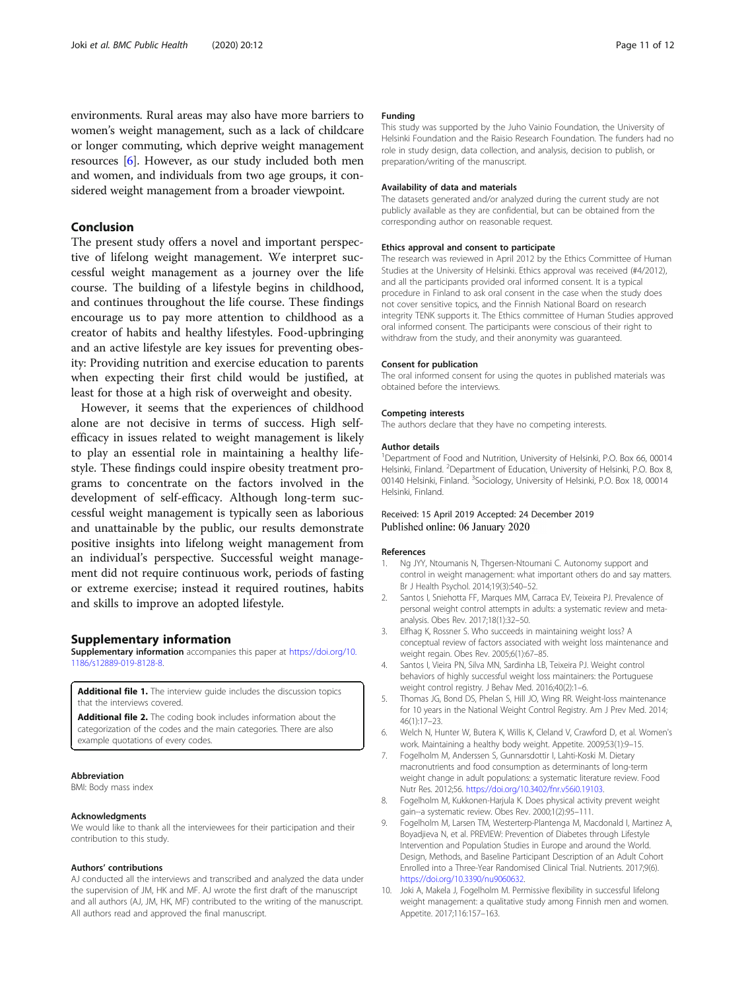<span id="page-10-0"></span>environments. Rural areas may also have more barriers to women's weight management, such as a lack of childcare or longer commuting, which deprive weight management resources [6]. However, as our study included both men and women, and individuals from two age groups, it considered weight management from a broader viewpoint.

# Conclusion

The present study offers a novel and important perspective of lifelong weight management. We interpret successful weight management as a journey over the life course. The building of a lifestyle begins in childhood, and continues throughout the life course. These findings encourage us to pay more attention to childhood as a creator of habits and healthy lifestyles. Food-upbringing and an active lifestyle are key issues for preventing obesity: Providing nutrition and exercise education to parents when expecting their first child would be justified, at least for those at a high risk of overweight and obesity.

However, it seems that the experiences of childhood alone are not decisive in terms of success. High selfefficacy in issues related to weight management is likely to play an essential role in maintaining a healthy lifestyle. These findings could inspire obesity treatment programs to concentrate on the factors involved in the development of self-efficacy. Although long-term successful weight management is typically seen as laborious and unattainable by the public, our results demonstrate positive insights into lifelong weight management from an individual's perspective. Successful weight management did not require continuous work, periods of fasting or extreme exercise; instead it required routines, habits and skills to improve an adopted lifestyle.

### Supplementary information

Supplementary information accompanies this paper at [https://doi.org/10.](https://doi.org/10.1186/s12889-019-8128-8) [1186/s12889-019-8128-8.](https://doi.org/10.1186/s12889-019-8128-8)

Additional file 1. The interview guide includes the discussion topics that the interviews covered.

Additional file 2. The coding book includes information about the categorization of the codes and the main categories. There are also example quotations of every codes.

#### Abbreviation

BMI: Body mass index

#### Acknowledgments

We would like to thank all the interviewees for their participation and their contribution to this study.

#### Authors' contributions

AJ conducted all the interviews and transcribed and analyzed the data under the supervision of JM, HK and MF. AJ wrote the first draft of the manuscript and all authors (AJ, JM, HK, MF) contributed to the writing of the manuscript. All authors read and approved the final manuscript.

#### Funding

This study was supported by the Juho Vainio Foundation, the University of Helsinki Foundation and the Raisio Research Foundation. The funders had no role in study design, data collection, and analysis, decision to publish, or preparation/writing of the manuscript.

#### Availability of data and materials

The datasets generated and/or analyzed during the current study are not publicly available as they are confidential, but can be obtained from the corresponding author on reasonable request.

#### Ethics approval and consent to participate

The research was reviewed in April 2012 by the Ethics Committee of Human Studies at the University of Helsinki. Ethics approval was received (#4/2012), and all the participants provided oral informed consent. It is a typical procedure in Finland to ask oral consent in the case when the study does not cover sensitive topics, and the Finnish National Board on research integrity TENK supports it. The Ethics committee of Human Studies approved oral informed consent. The participants were conscious of their right to withdraw from the study, and their anonymity was guaranteed.

#### Consent for publication

The oral informed consent for using the quotes in published materials was obtained before the interviews.

#### Competing interests

The authors declare that they have no competing interests.

#### Author details

<sup>1</sup>Department of Food and Nutrition, University of Helsinki, P.O. Box 66, 00014 Helsinki, Finland. <sup>2</sup>Department of Education, University of Helsinki, P.O. Box 8 00140 Helsinki, Finland. <sup>3</sup>Sociology, University of Helsinki, P.O. Box 18, 00014 Helsinki, Finland.

## Received: 15 April 2019 Accepted: 24 December 2019 Published online: 06 January 2020

#### References

- 1. Ng JYY, Ntoumanis N, Thgersen-Ntoumani C. Autonomy support and control in weight management: what important others do and say matters. Br J Health Psychol. 2014;19(3):540–52.
- 2. Santos I, Sniehotta FF, Marques MM, Carraca EV, Teixeira PJ. Prevalence of personal weight control attempts in adults: a systematic review and metaanalysis. Obes Rev. 2017;18(1):32–50.
- 3. Elfhag K, Rossner S. Who succeeds in maintaining weight loss? A conceptual review of factors associated with weight loss maintenance and weight regain. Obes Rev. 2005;6(1):67–85.
- 4. Santos I, Vieira PN, Silva MN, Sardinha LB, Teixeira PJ. Weight control behaviors of highly successful weight loss maintainers: the Portuguese weight control registry. J Behav Med. 2016;40(2):1–6.
- 5. Thomas JG, Bond DS, Phelan S, Hill JO, Wing RR. Weight-loss maintenance for 10 years in the National Weight Control Registry. Am J Prev Med. 2014; 46(1):17–23.
- 6. Welch N, Hunter W, Butera K, Willis K, Cleland V, Crawford D, et al. Women's work. Maintaining a healthy body weight. Appetite. 2009;53(1):9–15.
- 7. Fogelholm M, Anderssen S, Gunnarsdottir I, Lahti-Koski M. Dietary macronutrients and food consumption as determinants of long-term weight change in adult populations: a systematic literature review. Food Nutr Res. 2012;56. <https://doi.org/10.3402/fnr.v56i0.19103>.
- 8. Fogelholm M, Kukkonen-Harjula K. Does physical activity prevent weight gain--a systematic review. Obes Rev. 2000;1(2):95–111.
- 9. Fogelholm M, Larsen TM, Westerterp-Plantenga M, Macdonald I, Martinez A, Boyadjieva N, et al. PREVIEW: Prevention of Diabetes through Lifestyle Intervention and Population Studies in Europe and around the World. Design, Methods, and Baseline Participant Description of an Adult Cohort Enrolled into a Three-Year Randomised Clinical Trial. Nutrients. 2017;9(6). <https://doi.org/10.3390/nu9060632>.
- 10. Joki A, Makela J, Fogelholm M. Permissive flexibility in successful lifelong weight management: a qualitative study among Finnish men and women. Appetite. 2017;116:157–163.